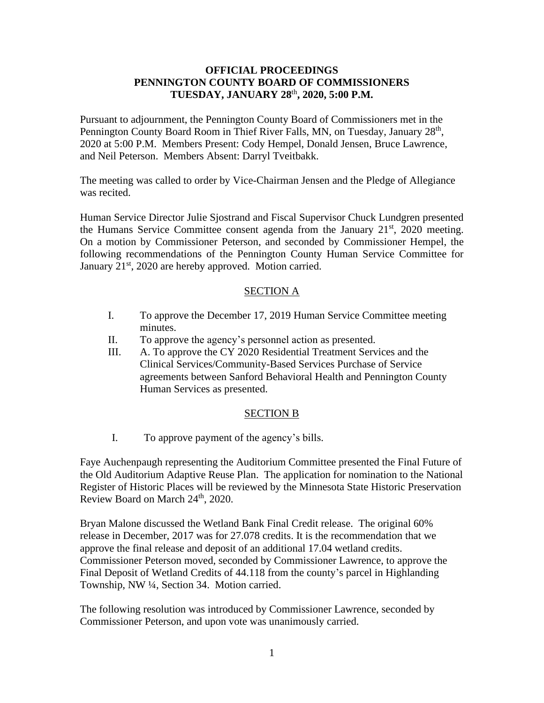### **OFFICIAL PROCEEDINGS PENNINGTON COUNTY BOARD OF COMMISSIONERS TUESDAY, JANUARY 28**th **, 2020, 5:00 P.M.**

Pursuant to adjournment, the Pennington County Board of Commissioners met in the Pennington County Board Room in Thief River Falls, MN, on Tuesday, January 28<sup>th</sup>, 2020 at 5:00 P.M. Members Present: Cody Hempel, Donald Jensen, Bruce Lawrence, and Neil Peterson. Members Absent: Darryl Tveitbakk.

The meeting was called to order by Vice-Chairman Jensen and the Pledge of Allegiance was recited.

Human Service Director Julie Sjostrand and Fiscal Supervisor Chuck Lundgren presented the Humans Service Committee consent agenda from the January 21<sup>st</sup>, 2020 meeting. On a motion by Commissioner Peterson, and seconded by Commissioner Hempel, the following recommendations of the Pennington County Human Service Committee for January  $21<sup>st</sup>$ , 2020 are hereby approved. Motion carried.

## SECTION A

- I. To approve the December 17, 2019 Human Service Committee meeting minutes.
- II. To approve the agency's personnel action as presented.
- III. A. To approve the CY 2020 Residential Treatment Services and the Clinical Services/Community-Based Services Purchase of Service agreements between Sanford Behavioral Health and Pennington County Human Services as presented.

# SECTION B

I. To approve payment of the agency's bills.

Faye Auchenpaugh representing the Auditorium Committee presented the Final Future of the Old Auditorium Adaptive Reuse Plan. The application for nomination to the National Register of Historic Places will be reviewed by the Minnesota State Historic Preservation Review Board on March 24<sup>th</sup>, 2020.

Bryan Malone discussed the Wetland Bank Final Credit release. The original 60% release in December, 2017 was for 27.078 credits. It is the recommendation that we approve the final release and deposit of an additional 17.04 wetland credits. Commissioner Peterson moved, seconded by Commissioner Lawrence, to approve the Final Deposit of Wetland Credits of 44.118 from the county's parcel in Highlanding Township, NW ¼, Section 34. Motion carried.

The following resolution was introduced by Commissioner Lawrence, seconded by Commissioner Peterson, and upon vote was unanimously carried.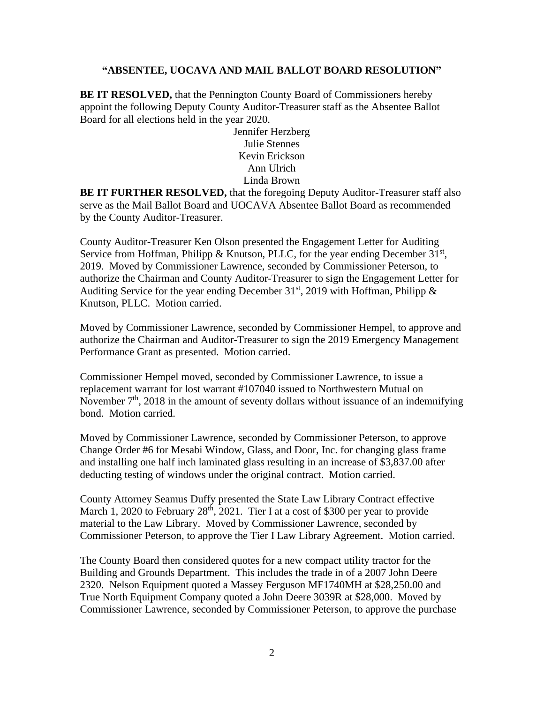#### **"ABSENTEE, UOCAVA AND MAIL BALLOT BOARD RESOLUTION"**

**BE IT RESOLVED,** that the Pennington County Board of Commissioners hereby appoint the following Deputy County Auditor-Treasurer staff as the Absentee Ballot Board for all elections held in the year 2020.

> Jennifer Herzberg Julie Stennes Kevin Erickson Ann Ulrich Linda Brown

**BE IT FURTHER RESOLVED,** that the foregoing Deputy Auditor-Treasurer staff also serve as the Mail Ballot Board and UOCAVA Absentee Ballot Board as recommended by the County Auditor-Treasurer.

County Auditor-Treasurer Ken Olson presented the Engagement Letter for Auditing Service from Hoffman, Philipp & Knutson, PLLC, for the year ending December 31<sup>st</sup>, 2019. Moved by Commissioner Lawrence, seconded by Commissioner Peterson, to authorize the Chairman and County Auditor-Treasurer to sign the Engagement Letter for Auditing Service for the year ending December  $31<sup>st</sup>$ , 2019 with Hoffman, Philipp & Knutson, PLLC. Motion carried.

Moved by Commissioner Lawrence, seconded by Commissioner Hempel, to approve and authorize the Chairman and Auditor-Treasurer to sign the 2019 Emergency Management Performance Grant as presented. Motion carried.

Commissioner Hempel moved, seconded by Commissioner Lawrence, to issue a replacement warrant for lost warrant #107040 issued to Northwestern Mutual on November  $7<sup>th</sup>$ , 2018 in the amount of seventy dollars without issuance of an indemnifying bond. Motion carried.

Moved by Commissioner Lawrence, seconded by Commissioner Peterson, to approve Change Order #6 for Mesabi Window, Glass, and Door, Inc. for changing glass frame and installing one half inch laminated glass resulting in an increase of \$3,837.00 after deducting testing of windows under the original contract. Motion carried.

County Attorney Seamus Duffy presented the State Law Library Contract effective March 1, 2020 to February  $28<sup>th</sup>$ , 2021. Tier I at a cost of \$300 per year to provide material to the Law Library. Moved by Commissioner Lawrence, seconded by Commissioner Peterson, to approve the Tier I Law Library Agreement. Motion carried.

The County Board then considered quotes for a new compact utility tractor for the Building and Grounds Department. This includes the trade in of a 2007 John Deere 2320. Nelson Equipment quoted a Massey Ferguson MF1740MH at \$28,250.00 and True North Equipment Company quoted a John Deere 3039R at \$28,000. Moved by Commissioner Lawrence, seconded by Commissioner Peterson, to approve the purchase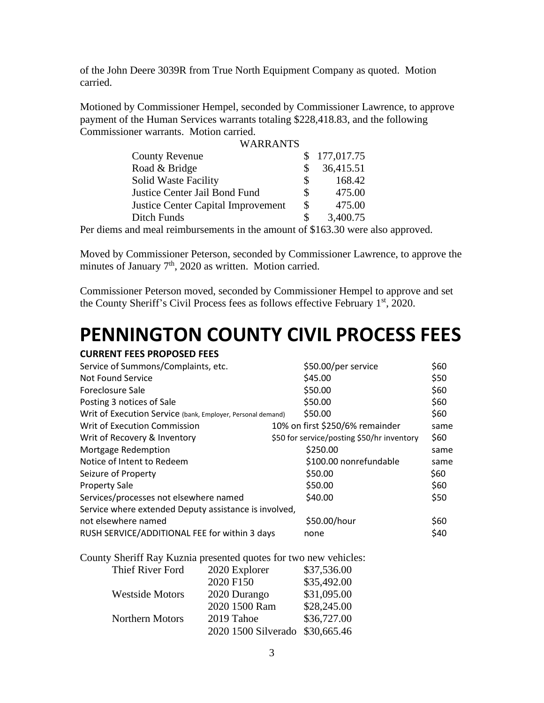of the John Deere 3039R from True North Equipment Company as quoted. Motion carried.

Motioned by Commissioner Hempel, seconded by Commissioner Lawrence, to approve payment of the Human Services warrants totaling \$228,418.83, and the following Commissioner warrants. Motion carried.  $\cdot$ 

|                                           | WARRANTS |     |              |
|-------------------------------------------|----------|-----|--------------|
| <b>County Revenue</b>                     |          |     | \$177,017.75 |
| Road & Bridge                             |          | \$. | 36,415.51    |
| <b>Solid Waste Facility</b>               |          | \$. | 168.42       |
| Justice Center Jail Bond Fund             |          | \$  | 475.00       |
| <b>Justice Center Capital Improvement</b> |          | \$  | 475.00       |
| Ditch Funds                               |          | \$  | 3,400.75     |
|                                           |          |     |              |

Per diems and meal reimbursements in the amount of \$163.30 were also approved.

Moved by Commissioner Peterson, seconded by Commissioner Lawrence, to approve the minutes of January  $7<sup>th</sup>$ , 2020 as written. Motion carried.

Commissioner Peterson moved, seconded by Commissioner Hempel to approve and set the County Sheriff's Civil Process fees as follows effective February 1<sup>st</sup>, 2020.

# **PENNINGTON COUNTY CIVIL PROCESS FEES**

| <b>CURRENT FEES PROPOSED FEES</b>                           |                                            |      |
|-------------------------------------------------------------|--------------------------------------------|------|
| Service of Summons/Complaints, etc.                         | \$50.00/per service                        | \$60 |
| Not Found Service                                           | \$45.00                                    | \$50 |
| Foreclosure Sale                                            | \$50.00                                    | \$60 |
| Posting 3 notices of Sale                                   | \$50.00                                    | \$60 |
| Writ of Execution Service (bank, Employer, Personal demand) | \$50.00                                    | \$60 |
| Writ of Execution Commission                                | 10% on first \$250/6% remainder            | same |
| Writ of Recovery & Inventory                                | \$50 for service/posting \$50/hr inventory | \$60 |
| Mortgage Redemption                                         | \$250.00                                   | same |
| Notice of Intent to Redeem                                  | \$100.00 nonrefundable                     | same |
| Seizure of Property                                         | \$50.00                                    | \$60 |
| <b>Property Sale</b>                                        | \$50.00                                    | \$60 |
| Services/processes not elsewhere named                      | \$40.00                                    | \$50 |
| Service where extended Deputy assistance is involved,       |                                            |      |
| not elsewhere named                                         | \$50.00/hour                               | \$60 |
| RUSH SERVICE/ADDITIONAL FEE for within 3 days               | none                                       | \$40 |
|                                                             |                                            |      |

County Sheriff Ray Kuznia presented quotes for two new vehicles:

| Thief River Ford       | 2020 Explorer                   | \$37,536.00 |
|------------------------|---------------------------------|-------------|
|                        | 2020 F150                       | \$35,492.00 |
| <b>Westside Motors</b> | 2020 Durango                    | \$31,095.00 |
|                        | 2020 1500 Ram                   | \$28,245.00 |
| Northern Motors        | 2019 Tahoe                      | \$36,727.00 |
|                        | 2020 1500 Silverado \$30,665.46 |             |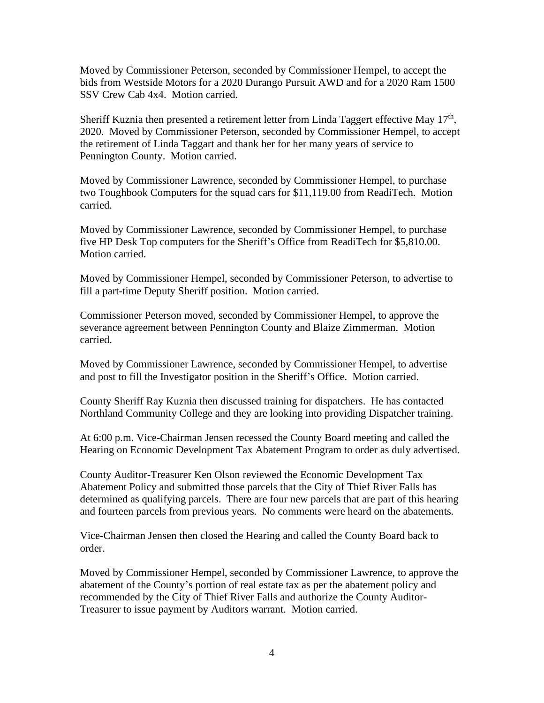Moved by Commissioner Peterson, seconded by Commissioner Hempel, to accept the bids from Westside Motors for a 2020 Durango Pursuit AWD and for a 2020 Ram 1500 SSV Crew Cab 4x4. Motion carried.

Sheriff Kuznia then presented a retirement letter from Linda Taggert effective May  $17<sup>th</sup>$ , 2020. Moved by Commissioner Peterson, seconded by Commissioner Hempel, to accept the retirement of Linda Taggart and thank her for her many years of service to Pennington County. Motion carried.

Moved by Commissioner Lawrence, seconded by Commissioner Hempel, to purchase two Toughbook Computers for the squad cars for \$11,119.00 from ReadiTech. Motion carried.

Moved by Commissioner Lawrence, seconded by Commissioner Hempel, to purchase five HP Desk Top computers for the Sheriff's Office from ReadiTech for \$5,810.00. Motion carried.

Moved by Commissioner Hempel, seconded by Commissioner Peterson, to advertise to fill a part-time Deputy Sheriff position. Motion carried.

Commissioner Peterson moved, seconded by Commissioner Hempel, to approve the severance agreement between Pennington County and Blaize Zimmerman. Motion carried.

Moved by Commissioner Lawrence, seconded by Commissioner Hempel, to advertise and post to fill the Investigator position in the Sheriff's Office. Motion carried.

County Sheriff Ray Kuznia then discussed training for dispatchers. He has contacted Northland Community College and they are looking into providing Dispatcher training.

At 6:00 p.m. Vice-Chairman Jensen recessed the County Board meeting and called the Hearing on Economic Development Tax Abatement Program to order as duly advertised.

County Auditor-Treasurer Ken Olson reviewed the Economic Development Tax Abatement Policy and submitted those parcels that the City of Thief River Falls has determined as qualifying parcels. There are four new parcels that are part of this hearing and fourteen parcels from previous years. No comments were heard on the abatements.

Vice-Chairman Jensen then closed the Hearing and called the County Board back to order.

Moved by Commissioner Hempel, seconded by Commissioner Lawrence, to approve the abatement of the County's portion of real estate tax as per the abatement policy and recommended by the City of Thief River Falls and authorize the County Auditor-Treasurer to issue payment by Auditors warrant. Motion carried.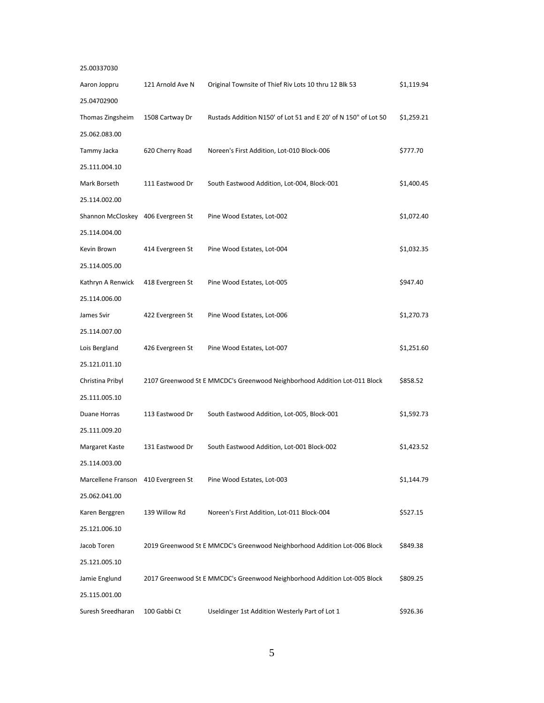| 25.00337030                         |                  |                                                                           |            |
|-------------------------------------|------------------|---------------------------------------------------------------------------|------------|
| Aaron Joppru                        | 121 Arnold Ave N | Original Townsite of Thief Riv Lots 10 thru 12 Blk 53                     | \$1,119.94 |
| 25.04702900                         |                  |                                                                           |            |
| Thomas Zingsheim                    | 1508 Cartway Dr  | Rustads Addition N150' of Lot 51 and E 20' of N 150" of Lot 50            | \$1,259.21 |
| 25.062.083.00                       |                  |                                                                           |            |
| Tammy Jacka                         | 620 Cherry Road  | Noreen's First Addition, Lot-010 Block-006                                | \$777.70   |
| 25.111.004.10                       |                  |                                                                           |            |
| Mark Borseth                        | 111 Eastwood Dr  | South Eastwood Addition, Lot-004, Block-001                               | \$1,400.45 |
| 25.114.002.00                       |                  |                                                                           |            |
| Shannon McCloskey 406 Evergreen St  |                  | Pine Wood Estates, Lot-002                                                | \$1,072.40 |
| 25.114.004.00                       |                  |                                                                           |            |
| Kevin Brown                         | 414 Evergreen St | Pine Wood Estates, Lot-004                                                | \$1,032.35 |
| 25.114.005.00                       |                  |                                                                           |            |
| Kathryn A Renwick                   | 418 Evergreen St | Pine Wood Estates, Lot-005                                                | \$947.40   |
| 25.114.006.00                       |                  |                                                                           |            |
| James Svir                          | 422 Evergreen St | Pine Wood Estates, Lot-006                                                | \$1,270.73 |
| 25.114.007.00                       |                  |                                                                           |            |
| Lois Bergland                       | 426 Evergreen St | Pine Wood Estates, Lot-007                                                | \$1,251.60 |
| 25.121.011.10                       |                  |                                                                           |            |
| Christina Pribyl                    |                  | 2107 Greenwood St E MMCDC's Greenwood Neighborhood Addition Lot-011 Block | \$858.52   |
| 25.111.005.10                       |                  |                                                                           |            |
| Duane Horras                        | 113 Eastwood Dr  | South Eastwood Addition, Lot-005, Block-001                               | \$1,592.73 |
| 25.111.009.20                       |                  |                                                                           |            |
| Margaret Kaste                      | 131 Eastwood Dr  | South Eastwood Addition, Lot-001 Block-002                                | \$1,423.52 |
| 25.114.003.00                       |                  |                                                                           |            |
| Marcellene Franson 410 Evergreen St |                  | Pine Wood Estates, Lot-003                                                | \$1,144.79 |
| 25.062.041.00                       |                  |                                                                           |            |
| Karen Berggren                      | 139 Willow Rd    | Noreen's First Addition, Lot-011 Block-004                                | \$527.15   |
| 25.121.006.10                       |                  |                                                                           |            |
| Jacob Toren                         |                  | 2019 Greenwood St E MMCDC's Greenwood Neighborhood Addition Lot-006 Block | \$849.38   |
| 25.121.005.10                       |                  |                                                                           |            |
| Jamie Englund                       |                  | 2017 Greenwood St E MMCDC's Greenwood Neighborhood Addition Lot-005 Block | \$809.25   |
| 25.115.001.00                       |                  |                                                                           |            |
| Suresh Sreedharan                   | 100 Gabbi Ct     | Useldinger 1st Addition Westerly Part of Lot 1                            | \$926.36   |